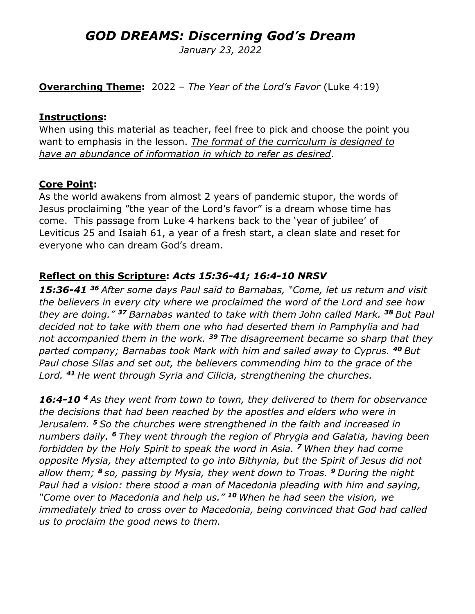# *GOD DREAMS: Discerning God's Dream*

*January 23, 2022*

**Overarching Theme:** 2022 – *The Year of the Lord's Favor* (Luke 4:19)

#### **Instructions:**

When using this material as teacher, feel free to pick and choose the point you want to emphasis in the lesson. *The format of the curriculum is designed to have an abundance of information in which to refer as desired*.

#### **Core Point:**

As the world awakens from almost 2 years of pandemic stupor, the words of Jesus proclaiming "the year of the Lord's favor" is a dream whose time has come. This passage from Luke 4 harkens back to the 'year of jubilee' of Leviticus 25 and Isaiah 61, a year of a fresh start, a clean slate and reset for everyone who can dream God's dream.

#### **Reflect on this Scripture:** *Acts 15:36-41; 16:4-10 NRSV*

*15:36-41 <sup>36</sup> After some days Paul said to Barnabas, "Come, let us return and visit the believers in every city where we proclaimed the word of the Lord and see how they are doing." <sup>37</sup> Barnabas wanted to take with them John called Mark. <sup>38</sup> But Paul decided not to take with them one who had deserted them in Pamphylia and had not accompanied them in the work. <sup>39</sup> The disagreement became so sharp that they parted company; Barnabas took Mark with him and sailed away to Cyprus. <sup>40</sup> But Paul chose Silas and set out, the believers commending him to the grace of the Lord. <sup>41</sup> He went through Syria and Cilicia, strengthening the churches.* 

*16:4-10 <sup>4</sup> As they went from town to town, they delivered to them for observance the decisions that had been reached by the apostles and elders who were in Jerusalem. <sup>5</sup> So the churches were strengthened in the faith and increased in numbers daily. <sup>6</sup> They went through the region of Phrygia and Galatia, having been forbidden by the Holy Spirit to speak the word in Asia. <sup>7</sup> When they had come opposite Mysia, they attempted to go into Bithynia, but the Spirit of Jesus did not allow them; <sup>8</sup> so, passing by Mysia, they went down to Troas. <sup>9</sup> During the night Paul had a vision: there stood a man of Macedonia pleading with him and saying, "Come over to Macedonia and help us." <sup>10</sup> When he had seen the vision, we immediately tried to cross over to Macedonia, being convinced that God had called us to proclaim the good news to them.*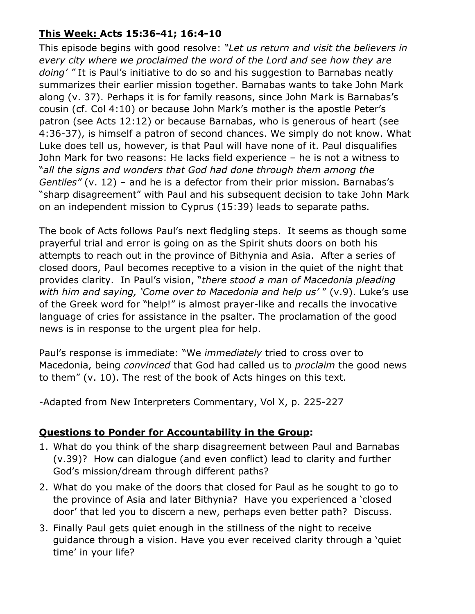### **This Week: Acts 15:36-41; 16:4-10**

This episode begins with good resolve: *"Let us return and visit the believers in every city where we proclaimed the word of the Lord and see how they are doing' "* It is Paul's initiative to do so and his suggestion to Barnabas neatly summarizes their earlier mission together. Barnabas wants to take John Mark along (v. 37). Perhaps it is for family reasons, since John Mark is Barnabas's cousin (cf. Col 4:10) or because John Mark's mother is the apostle Peter's patron (see Acts 12:12) or because Barnabas, who is generous of heart (see 4:36-37), is himself a patron of second chances. We simply do not know. What Luke does tell us, however, is that Paul will have none of it. Paul disqualifies John Mark for two reasons: He lacks field experience – he is not a witness to "*all the signs and wonders that God had done through them among the Gentiles"* (v. 12) – and he is a defector from their prior mission. Barnabas's "sharp disagreement" with Paul and his subsequent decision to take John Mark on an independent mission to Cyprus (15:39) leads to separate paths.

The book of Acts follows Paul's next fledgling steps. It seems as though some prayerful trial and error is going on as the Spirit shuts doors on both his attempts to reach out in the province of Bithynia and Asia. After a series of closed doors, Paul becomes receptive to a vision in the quiet of the night that provides clarity. In Paul's vision, "*there stood a man of Macedonia pleading with him and saying, 'Come over to Macedonia and help us'* " (v.9). Luke's use of the Greek word for "help!" is almost prayer-like and recalls the invocative language of cries for assistance in the psalter. The proclamation of the good news is in response to the urgent plea for help.

Paul's response is immediate: "We *immediately* tried to cross over to Macedonia, being *convinced* that God had called us to *proclaim* the good news to them" (v. 10). The rest of the book of Acts hinges on this text.

-Adapted from New Interpreters Commentary, Vol X, p. 225-227

# **Questions to Ponder for Accountability in the Group:**

- 1. What do you think of the sharp disagreement between Paul and Barnabas (v.39)? How can dialogue (and even conflict) lead to clarity and further God's mission/dream through different paths?
- 2. What do you make of the doors that closed for Paul as he sought to go to the province of Asia and later Bithynia? Have you experienced a 'closed door' that led you to discern a new, perhaps even better path? Discuss.
- 3. Finally Paul gets quiet enough in the stillness of the night to receive guidance through a vision. Have you ever received clarity through a 'quiet time' in your life?